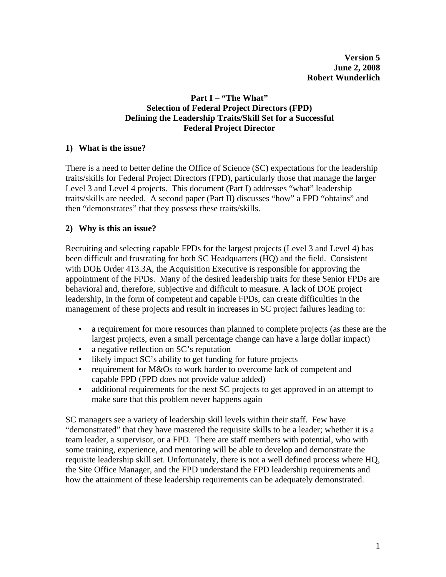# **Part I – "The What" Selection of Federal Project Directors (FPD) Defining the Leadership Traits/Skill Set for a Successful Federal Project Director**

### **1) What is the issue?**

There is a need to better define the Office of Science (SC) expectations for the leadership traits/skills for Federal Project Directors (FPD), particularly those that manage the larger Level 3 and Level 4 projects. This document (Part I) addresses "what" leadership traits/skills are needed. A second paper (Part II) discusses "how" a FPD "obtains" and then "demonstrates" that they possess these traits/skills.

### **2) Why is this an issue?**

Recruiting and selecting capable FPDs for the largest projects (Level 3 and Level 4) has been difficult and frustrating for both SC Headquarters (HQ) and the field. Consistent with DOE Order 413.3A, the Acquisition Executive is responsible for approving the appointment of the FPDs. Many of the desired leadership traits for these Senior FPDs are behavioral and, therefore, subjective and difficult to measure. A lack of DOE project leadership, in the form of competent and capable FPDs, can create difficulties in the management of these projects and result in increases in SC project failures leading to:

- a requirement for more resources than planned to complete projects (as these are the largest projects, even a small percentage change can have a large dollar impact)
- a negative reflection on SC's reputation
- likely impact SC's ability to get funding for future projects
- requirement for M&Os to work harder to overcome lack of competent and capable FPD (FPD does not provide value added)
- additional requirements for the next SC projects to get approved in an attempt to make sure that this problem never happens again

SC managers see a variety of leadership skill levels within their staff. Few have "demonstrated" that they have mastered the requisite skills to be a leader; whether it is a team leader, a supervisor, or a FPD. There are staff members with potential, who with some training, experience, and mentoring will be able to develop and demonstrate the requisite leadership skill set. Unfortunately, there is not a well defined process where HQ, the Site Office Manager, and the FPD understand the FPD leadership requirements and how the attainment of these leadership requirements can be adequately demonstrated.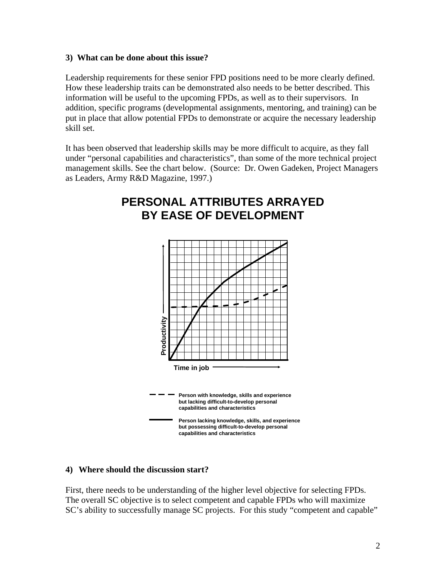## **3) What can be done about this issue?**

Leadership requirements for these senior FPD positions need to be more clearly defined. How these leadership traits can be demonstrated also needs to be better described. This information will be useful to the upcoming FPDs, as well as to their supervisors. In addition, specific programs (developmental assignments, mentoring, and training) can be put in place that allow potential FPDs to demonstrate or acquire the necessary leadership skill set.

It has been observed that leadership skills may be more difficult to acquire, as they fall under "personal capabilities and characteristics", than some of the more technical project management skills. See the chart below. (Source: Dr. Owen Gadeken, Project Managers as Leaders, Army R&D Magazine, 1997.)

# **Figure 7 PERSONAL ATTRIBUTES ARRAYED PERSONAL ATTRIBUTES ARRAIT BY EASE OF DEVELOPMENT BY EASE OF DEVELOPMENT**



#### **4) Where should the discussion start?**

First, there needs to be understanding of the higher level objective for selecting FPDs. The overall SC objective is to select competent and capable FPDs who will maximize SC's ability to successfully manage SC projects. For this study "competent and capable"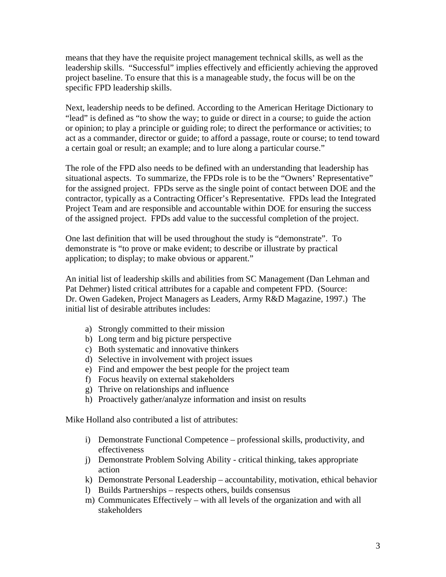means that they have the requisite project management technical skills, as well as the leadership skills. "Successful" implies effectively and efficiently achieving the approved project baseline. To ensure that this is a manageable study, the focus will be on the specific FPD leadership skills.

Next, leadership needs to be defined. According to the American Heritage Dictionary to "lead" is defined as "to show the way; to guide or direct in a course; to guide the action or opinion; to play a principle or guiding role; to direct the performance or activities; to act as a commander, director or guide; to afford a passage, route or course; to tend toward a certain goal or result; an example; and to lure along a particular course."

The role of the FPD also needs to be defined with an understanding that leadership has situational aspects. To summarize, the FPDs role is to be the "Owners' Representative" for the assigned project. FPDs serve as the single point of contact between DOE and the contractor, typically as a Contracting Officer's Representative. FPDs lead the Integrated Project Team and are responsible and accountable within DOE for ensuring the success of the assigned project. FPDs add value to the successful completion of the project.

One last definition that will be used throughout the study is "demonstrate". To demonstrate is "to prove or make evident; to describe or illustrate by practical application; to display; to make obvious or apparent."

An initial list of leadership skills and abilities from SC Management (Dan Lehman and Pat Dehmer) listed critical attributes for a capable and competent FPD.(Source: Dr. Owen Gadeken, Project Managers as Leaders, Army R&D Magazine, 1997.) The initial list of desirable attributes includes:

- a) Strongly committed to their mission
- b) Long term and big picture perspective
- c) Both systematic and innovative thinkers
- d) Selective in involvement with project issues
- e) Find and empower the best people for the project team
- f) Focus heavily on external stakeholders
- g) Thrive on relationships and influence
- h) Proactively gather/analyze information and insist on results

Mike Holland also contributed a list of attributes:

- i) Demonstrate Functional Competence professional skills, productivity, and effectiveness
- j) Demonstrate Problem Solving Ability critical thinking, takes appropriate action
- k) Demonstrate Personal Leadership accountability, motivation, ethical behavior
- l) Builds Partnerships respects others, builds consensus
- m) Communicates Effectively with all levels of the organization and with all stakeholders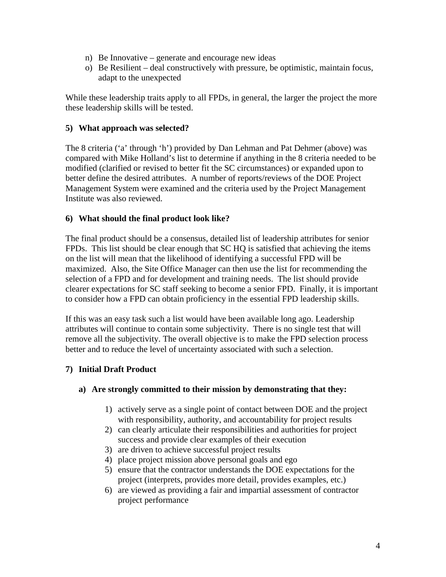- n) Be Innovative generate and encourage new ideas
- o) Be Resilient deal constructively with pressure, be optimistic, maintain focus, adapt to the unexpected

While these leadership traits apply to all FPDs, in general, the larger the project the more these leadership skills will be tested.

## **5) What approach was selected?**

The 8 criteria ('a' through 'h') provided by Dan Lehman and Pat Dehmer (above) was compared with Mike Holland's list to determine if anything in the 8 criteria needed to be modified (clarified or revised to better fit the SC circumstances) or expanded upon to better define the desired attributes. A number of reports/reviews of the DOE Project Management System were examined and the criteria used by the Project Management Institute was also reviewed.

### **6) What should the final product look like?**

The final product should be a consensus, detailed list of leadership attributes for senior FPDs. This list should be clear enough that SC HQ is satisfied that achieving the items on the list will mean that the likelihood of identifying a successful FPD will be maximized. Also, the Site Office Manager can then use the list for recommending the selection of a FPD and for development and training needs. The list should provide clearer expectations for SC staff seeking to become a senior FPD. Finally, it is important to consider how a FPD can obtain proficiency in the essential FPD leadership skills.

If this was an easy task such a list would have been available long ago. Leadership attributes will continue to contain some subjectivity. There is no single test that will remove all the subjectivity. The overall objective is to make the FPD selection process better and to reduce the level of uncertainty associated with such a selection.

# **7) Initial Draft Product**

#### **a) Are strongly committed to their mission by demonstrating that they:**

- 1) actively serve as a single point of contact between DOE and the project with responsibility, authority, and accountability for project results
- 2) can clearly articulate their responsibilities and authorities for project success and provide clear examples of their execution
- 3) are driven to achieve successful project results
- 4) place project mission above personal goals and ego
- 5) ensure that the contractor understands the DOE expectations for the project (interprets, provides more detail, provides examples, etc.)
- 6) are viewed as providing a fair and impartial assessment of contractor project performance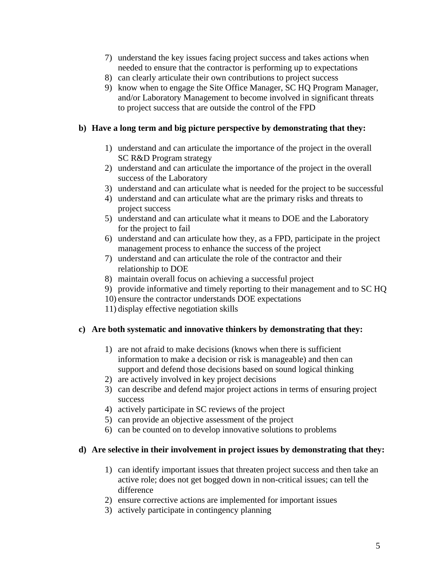- 7) understand the key issues facing project success and takes actions when needed to ensure that the contractor is performing up to expectations
- 8) can clearly articulate their own contributions to project success
- 9) know when to engage the Site Office Manager, SC HQ Program Manager, and/or Laboratory Management to become involved in significant threats to project success that are outside the control of the FPD

## **b) Have a long term and big picture perspective by demonstrating that they:**

- 1) understand and can articulate the importance of the project in the overall SC R&D Program strategy
- 2) understand and can articulate the importance of the project in the overall success of the Laboratory
- 3) understand and can articulate what is needed for the project to be successful
- 4) understand and can articulate what are the primary risks and threats to project success
- 5) understand and can articulate what it means to DOE and the Laboratory for the project to fail
- 6) understand and can articulate how they, as a FPD, participate in the project management process to enhance the success of the project
- 7) understand and can articulate the role of the contractor and their relationship to DOE
- 8) maintain overall focus on achieving a successful project
- 9) provide informative and timely reporting to their management and to SC HQ
- 10) ensure the contractor understands DOE expectations
- 11) display effective negotiation skills

# **c) Are both systematic and innovative thinkers by demonstrating that they:**

- 1) are not afraid to make decisions (knows when there is sufficient information to make a decision or risk is manageable) and then can support and defend those decisions based on sound logical thinking
- 2) are actively involved in key project decisions
- 3) can describe and defend major project actions in terms of ensuring project success
- 4) actively participate in SC reviews of the project
- 5) can provide an objective assessment of the project
- 6) can be counted on to develop innovative solutions to problems

#### **d) Are selective in their involvement in project issues by demonstrating that they:**

- 1) can identify important issues that threaten project success and then take an active role; does not get bogged down in non-critical issues; can tell the difference
- 2) ensure corrective actions are implemented for important issues
- 3) actively participate in contingency planning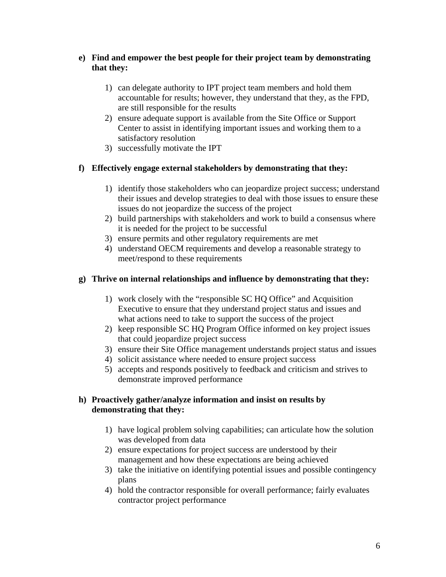# **e) Find and empower the best people for their project team by demonstrating that they:**

- 1) can delegate authority to IPT project team members and hold them accountable for results; however, they understand that they, as the FPD, are still responsible for the results
- 2) ensure adequate support is available from the Site Office or Support Center to assist in identifying important issues and working them to a satisfactory resolution
- 3) successfully motivate the IPT

# **f) Effectively engage external stakeholders by demonstrating that they:**

- 1) identify those stakeholders who can jeopardize project success; understand their issues and develop strategies to deal with those issues to ensure these issues do not jeopardize the success of the project
- 2) build partnerships with stakeholders and work to build a consensus where it is needed for the project to be successful
- 3) ensure permits and other regulatory requirements are met
- 4) understand OECM requirements and develop a reasonable strategy to meet/respond to these requirements

# **g) Thrive on internal relationships and influence by demonstrating that they:**

- 1) work closely with the "responsible SC HQ Office" and Acquisition Executive to ensure that they understand project status and issues and what actions need to take to support the success of the project
- 2) keep responsible SC HQ Program Office informed on key project issues that could jeopardize project success
- 3) ensure their Site Office management understands project status and issues
- 4) solicit assistance where needed to ensure project success
- 5) accepts and responds positively to feedback and criticism and strives to demonstrate improved performance

# **h) Proactively gather/analyze information and insist on results by demonstrating that they:**

- 1) have logical problem solving capabilities; can articulate how the solution was developed from data
- 2) ensure expectations for project success are understood by their management and how these expectations are being achieved
- 3) take the initiative on identifying potential issues and possible contingency plans
- 4) hold the contractor responsible for overall performance; fairly evaluates contractor project performance